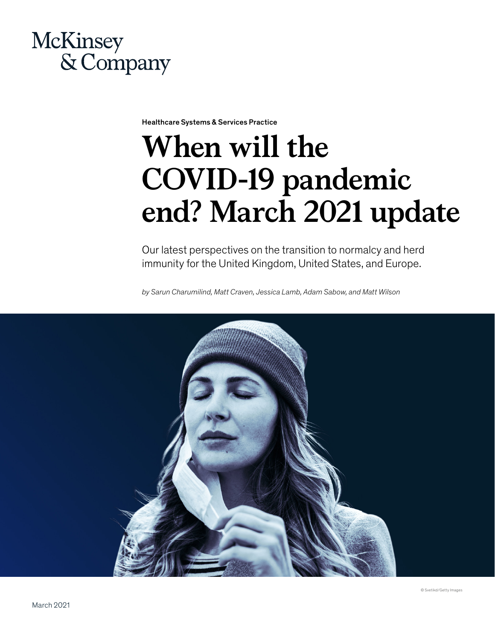

Healthcare Systems & Services Practice

# **When will the COVID-19 pandemic end? March 2021 update**

Our latest perspectives on the transition to normalcy and herd immunity for the United Kingdom, United States, and Europe.

*by Sarun Charumilind, Matt Craven, Jessica Lamb, Adam Sabow, and Matt Wilson*

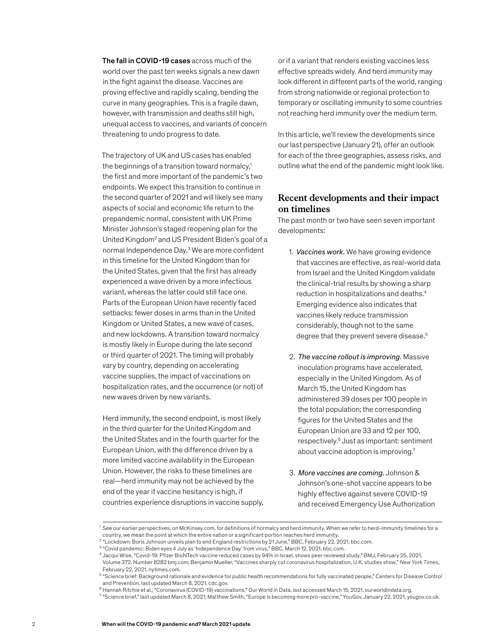The fall in COVID-19 cases across much of the world over the past ten weeks signals a new dawn in the fight against the disease. Vaccines are proving effective and rapidly scaling, bending the curve in many geographies. This is a fragile dawn, however, with transmission and deaths still high, unequal access to vaccines, and variants of concern threatening to undo progress to date.

The trajectory of UK and US cases has enabled the beginnings of a transition toward normalcy,<sup>1</sup> the first and more important of the pandemic's two endpoints. We expect this transition to continue in the second quarter of 2021 and will likely see many aspects of social and economic life return to the prepandemic normal, consistent with UK Prime Minister Johnson's staged reopening plan for the United Kingdom<sup>2</sup> and US President Biden's goal of a normal Independence Day.<sup>3</sup> We are more confident in this timeline for the United Kingdom than for the United States, given that the first has already experienced a wave driven by a more infectious variant, whereas the latter could still face one. Parts of the European Union have recently faced setbacks: fewer doses in arms than in the United Kingdom or United States, a new wave of cases, and new lockdowns. A transition toward normalcy is mostly likely in Europe during the late second or third quarter of 2021. The timing will probably vary by country, depending on accelerating vaccine supplies, the impact of vaccinations on hospitalization rates, and the occurrence (or not) of new waves driven by new variants.

Herd immunity, the second endpoint, is most likely in the third quarter for the United Kingdom and the United States and in the fourth quarter for the European Union, with the difference driven by a more limited vaccine availability in the European Union. However, the risks to these timelines are real—herd immunity may not be achieved by the end of the year if vaccine hesitancy is high, if countries experience disruptions in vaccine supply,

or if a variant that renders existing vaccines less effective spreads widely. And herd immunity may look different in different parts of the world, ranging from strong nationwide or regional protection to temporary or oscillating immunity to some countries not reaching herd immunity over the medium term.

In this article, we'll review the developments since our last perspective (January 21), offer an outlook for each of the three geographies, assess risks, and outline what the end of the pandemic might look like.

## **Recent developments and their impact on timelines**

The past month or two have seen seven important developments:

- 1. *Vaccines work.* We have growing evidence that vaccines are effective, as real-world data from Israel and the United Kingdom validate the clinical-trial results by showing a sharp reduction in hospitalizations and deaths.4 Emerging evidence also indicates that vaccines likely reduce transmission considerably, though not to the same degree that they prevent severe disease.<sup>5</sup>
- 2. *The vaccine rollout is improving.* Massive inoculation programs have accelerated, especially in the United Kingdom. As of March 15, the United Kingdom has administered 39 doses per 100 people in the total population; the corresponding figures for the United States and the European Union are 33 and 12 per 100, respectively.6 Just as important: sentiment about vaccine adoption is improving.7
- 3. *More vaccines are coming.* Johnson & Johnson's one-shot vaccine appears to be highly effective against severe COVID-19 and received Emergency Use Authorization

 $^1$  See our earlier perspectives, on McKinsey.com, for definitions of normalcy and herd immunity. When we refer to herd-immunity timelines for a country, we mean the point at which the entire nation or a significant portion reaches herd immunity.

<sup>2</sup> "Lockdown: Boris Johnson unveils plan to end England restrictions by 21 June," BBC, February 22, 2021, bbc.com.

<sup>3</sup> "Covid pandemic: Biden eyes 4 July as 'Independence Day' from virus," BBC, March 12, 2021, bbc.com.

<sup>4</sup> Jacqui Wise, "Covid-19: Pfizer BioNTech vaccine reduced cases by 94% in Israel, shows peer reviewed study," BMJ, February 25, 2021, Volume 372, Number 8282 bmj.com; Benjamin Mueller, "Vaccines sharply cut coronavirus hospitalization, U.K. studies show," *New York Times*, February 22, 2021, nytimes.com.

<sup>5</sup> "Science brief: Background rationale and evidence for public health recommendations for fully vaccinated people," Centers for Disease Control and Prevention, last updated March 8, 2021, cdc.gov.

 $^6$  Hannah Ritchie et al., "Coronavirus (COVID-19) vaccinations," Our World in Data, last accessed March 15, 2021, ourworldindata.org.

 $^7$  "Science brief," last updated March 8, 2021; Matthew Smith, "Europe is becoming more pro-vaccine," YouGov, January 22, 2021, yougov.co.uk.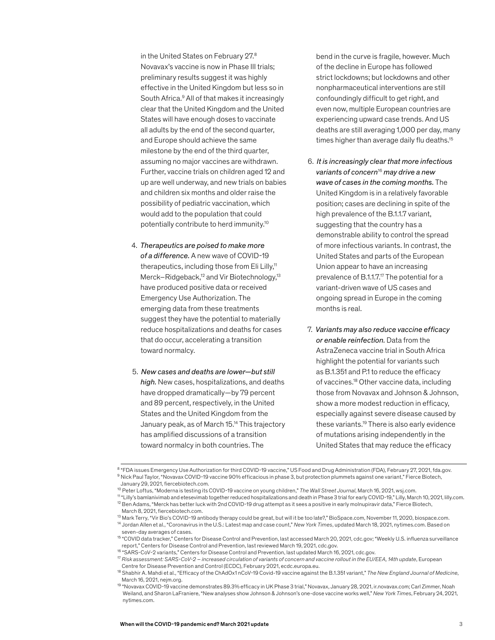in the United States on February 27.8 Novavax's vaccine is now in Phase III trials; preliminary results suggest it was highly effective in the United Kingdom but less so in South Africa.<sup>9</sup> All of that makes it increasingly clear that the United Kingdom and the United States will have enough doses to vaccinate all adults by the end of the second quarter, and Europe should achieve the same milestone by the end of the third quarter, assuming no major vaccines are withdrawn. Further, vaccine trials on children aged 12 and up are well underway, and new trials on babies and children six months and older raise the possibility of pediatric vaccination, which would add to the population that could potentially contribute to herd immunity.10

- 4. *Therapeutics are poised to make more of a difference.* A new wave of COVID-19 therapeutics, including those from Eli Lilly,<sup>11</sup> Merck–Ridgeback,<sup>12</sup> and Vir Biotechnology,<sup>13</sup> have produced positive data or received Emergency Use Authorization. The emerging data from these treatments suggest they have the potential to materially reduce hospitalizations and deaths for cases that do occur, accelerating a transition toward normalcy.
- 5. *New cases and deaths are lower—but still high.* New cases, hospitalizations, and deaths have dropped dramatically—by 79 percent and 89 percent, respectively, in the United States and the United Kingdom from the January peak, as of March 15.14 This trajectory has amplified discussions of a transition toward normalcy in both countries. The

 bend in the curve is fragile, however. Much of the decline in Europe has followed strict lockdowns; but lockdowns and other nonpharmaceutical interventions are still confoundingly difficult to get right, and even now, multiple European countries are experiencing upward case trends. And US deaths are still averaging 1,000 per day, many times higher than average daily flu deaths.<sup>15</sup>

- 6. *It is increasingly clear that more infectious variants of concern*16 *may drive a new wave of cases in the coming months.* The United Kingdom is in a relatively favorable position; cases are declining in spite of the high prevalence of the B.1.1.7 variant, suggesting that the country has a demonstrable ability to control the spread of more infectious variants. In contrast, the United States and parts of the European Union appear to have an increasing prevalence of B.1.1.7.17 The potential for a variant-driven wave of US cases and ongoing spread in Europe in the coming months is real.
- 7. *Variants may also reduce vaccine efficacy or enable reinfection.* Data from the AstraZeneca vaccine trial in South Africa highlight the potential for variants such as B.1.351 and P.1 to reduce the efficacy of vaccines.18 Other vaccine data, including those from Novavax and Johnson & Johnson, show a more modest reduction in efficacy, especially against severe disease caused by these variants.19 There is also early evidence of mutations arising independently in the United States that may reduce the efficacy

<sup>8 &</sup>quot;FDA issues Emergency Use Authorization for third COVID-19 vaccine," US Food and Drug Administration (FDA), February 27, 2021, fda.gov. 9 Nick Paul Taylor, "Novavax COVID-19 vaccine 90% efficacious in phase 3, but protection plummets against one variant," Fierce Biotech, January 29, 2021, fiercebiotech.com.

<sup>10</sup> Peter Loftus, "Moderna is testing its COVID-19 vaccine on young children," *The Wall Street Journal*, March 16, 2021, wsj.com.

<sup>11 &</sup>quot;Lilly's bamlanivimab and etesevimab together reduced hospitalizations and death in Phase 3 trial for early COVID-19," Lilly, March 10, 2021, lilly.com. 12 Ben Adams, "Merck has better luck with 2nd COVID-19 drug attempt as it sees a positive in early molnupiravir data," Fierce Biotech,

March 8, 2021, fiercebiotech.com.

<sup>13</sup> Mark Terry, "Vir Bio's COVID-19 antibody therapy could be great, but will it be too late?," BioSpace.com, November 11, 2020, biospace.com.

<sup>14</sup> Jordan Allen et al., "Coronavirus in the U.S.: Latest map and case count," *New York Times*, updated March 18, 2021, nytimes.com. Based on seven-day averages of cases.

<sup>&</sup>lt;sup>15</sup> "COVID data tracker," Centers for Disease Control and Prevention, last accessed March 20, 2021, cdc.gov; "Weekly U.S. influenza surveillance report," Centers for Disease Control and Prevention, last reviewed March 19, 2021, cdc.gov.

<sup>16 &</sup>quot;SARS-CoV-2 variants," Centers for Disease Control and Prevention, last updated March 16, 2021, cdc.gov.

<sup>17</sup> *Risk assessment: SARS-CoV-2 – increased circulation of variants of concern and vaccine rollout in the EU/EEA, 14th update*, European Centre for Disease Prevention and Control (ECDC), February 2021, ecdc.europa.eu.

<sup>18</sup> Shabhir A. Mahdi et al., "Efficacy of the ChAdOx1 nCoV-19 Covid-19 vaccine against the B.1.351 variant," *The New England Journal of Medicine*, March 16, 2021, nejm.org.

<sup>19 &</sup>quot;Novavax COVID-19 vaccine demonstrates 89.3% efficacy in UK Phase 3 trial," Novavax, January 28, 2021, ir.novavax.com; Carl Zimmer, Noah Weiland, and Sharon LaFraniere, "New analyses show Johnson & Johnson's one-dose vaccine works well," *New York Times*, February 24, 2021, nytimes.com.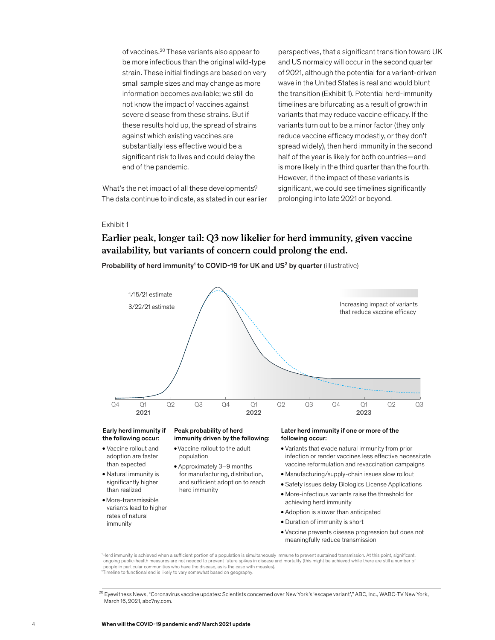of vaccines.20 These variants also appear to be more infectious than the original wild-type strain. These initial findings are based on very small sample sizes and may change as more information becomes available; we still do not know the impact of vaccines against severe disease from these strains. But if these results hold up, the spread of strains against which existing vaccines are substantially less effective would be a significant risk to lives and could delay the end of the pandemic.

What's the net impact of all these developments? The data continue to indicate, as stated in our earlier

perspectives, that a significant transition toward UK and US normalcy will occur in the second quarter of 2021, although the potential for a variant-driven wave in the United States is real and would blunt the transition (Exhibit 1). Potential herd-immunity timelines are bifurcating as a result of growth in variants that may reduce vaccine efficacy. If the variants turn out to be a minor factor (they only reduce vaccine efficacy modestly, or they don't spread widely), then herd immunity in the second half of the year is likely for both countries—and is more likely in the third quarter than the fourth. However, if the impact of these variants is significant, we could see timelines significantly prolonging into late 2021 or beyond.

#### Exhibit 1

# Earlier peak, longer tail: Q3 now likelier for herd immunity, given vaccine **Earlier peak, longer tail: Q3 now likelier for herd immunity, given vaccine**  availability, but variants of concern could prolong the end. **availability, but variants of concern could prolong the end.**

Probability of herd immunity<sup>1</sup> to COVID-19 for UK and US<sup>2</sup> by quarter (illustrative)



#### Early herd immunity if the following occur:

- Vaccine rollout and adoption are faster than expected
- Natural immunity is significantly higher than realized
- More-transmissible variants lead to higher rates of natural immunity

#### Peak probability of herd immunity driven by the following:

- Vaccine rollout to the adult population
- Approximately 3–9 months for manufacturing, distribution, and sufficient adoption to reach herd immunity

#### Later herd immunity if one or more of the following occur:

- Variants that evade natural immunity from prior infection or render vaccines less effective necessitate vaccine reformulation and revaccination campaigns
- Manufacturing/supply-chain issues slow rollout
- Safety issues delay Biologics License Applications
- More-infectious variants raise the threshold for achieving herd immunity
- Adoption is slower than anticipated
- Duration of immunity is short
- Vaccine prevents disease progression but does not meaningfully reduce transmission

<sup>1</sup>Herd immunity is achieved when a sufficient portion of a population is simultaneously immune to prevent sustained transmission. At this point, significant, ongoing public-health measures are not needed to prevent future spikes in disease and mortality (this might be achieved while there are still a number of people in particular communities who have the disease, as is the case with measles). <sup>2</sup>Timeline to functional end is likely to vary somewhat based on geography.

<sup>&</sup>lt;sup>20</sup> Eyewitness News, "Coronavirus vaccine updates: Scientists concerned over New York's 'escape variant'," ABC, Inc., WABC-TV New York, March 16, 2021, abc7ny.com.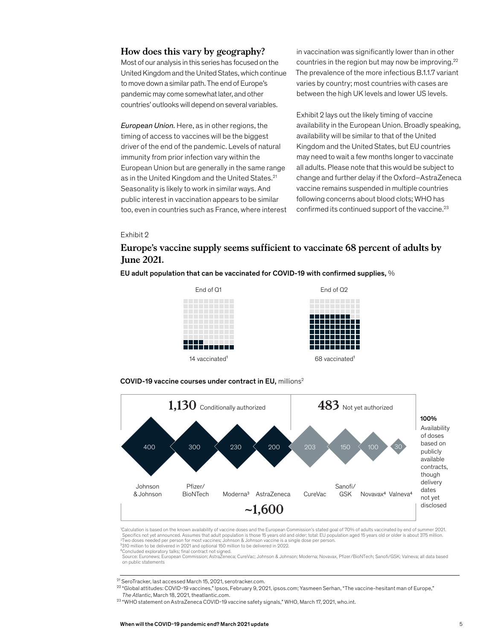### **How does this vary by geography?**

Most of our analysis in this series has focused on the United Kingdom and the United States, which continue to move down a similar path. The end of Europe's pandemic may come somewhat later, and other countries' outlooks will depend on several variables.

*European Union.* Here, as in other regions, the timing of access to vaccines will be the biggest driver of the end of the pandemic. Levels of natural immunity from prior infection vary within the European Union but are generally in the same range as in the United Kingdom and the United States.<sup>21</sup> Seasonality is likely to work in similar ways. And public interest in vaccination appears to be similar too, even in countries such as France, where interest

in vaccination was significantly lower than in other countries in the region but may now be improving. $22$ The prevalence of the more infectious B.1.1.7 variant varies by country; most countries with cases are between the high UK levels and lower US levels.

Exhibit 2 lays out the likely timing of vaccine availability in the European Union. Broadly speaking, availability will be similar to that of the United Kingdom and the United States, but EU countries may need to wait a few months longer to vaccinate all adults. Please note that this would be subject to change and further delay if the Oxford–AstraZeneca vaccine remains suspended in multiple countries following concerns about blood clots; WHO has confirmed its continued support of the vaccine.<sup>23</sup>

## Exhibit 2

# Europe's vaccine supply seems sufficient to vaccinate 68 percent of adults by by June 2021. **June 2021.**

EU adult population that can be vaccinated for COVID-19 with confirmed supplies,  $%$ 







1 Calculation is based on the known availability of vaccine doses and the European Commission's stated goal of 70% of adults vaccinated by end of summer 2021. Specifics not yet announced. Assumes that adult population is those 15 years old and older; total: EU population aged 15 years old or older is about 375 million. <sup>2</sup>Two doses needed per person for most vaccines; Johnson & Johnson vaccine is a single dose per person.

³310 million to be delivered in 2021 and optional 150 million to be delivered in 2022. Concluded exploratory talks: final contract not signed.

Source: Euronews; European Commission; AstraZeneca; CureVac; Johnson & Johnson; Moderna; Novavax, Pfizer/BioNTech; Sanofi/GSK; Valneva; all data based on public statements

21 SeroTracker, last accessed March 15, 2021, serotracker.com.

22 "Global attitudes: COVID-19 vaccines," Ipsos, February 9, 2021, ipsos.com; Yasmeen Serhan, "The vaccine-hesitant man of Europe,"  *The Atlantic*, March 18, 2021, theatlantic.com.

<sup>23</sup> "WHO statement on AstraZeneca COVID-19 vaccine safety signals," WHO, March 17, 2021, who.int.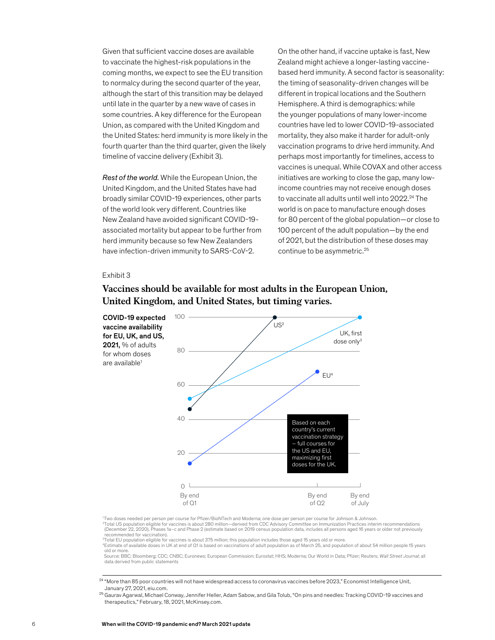Given that sufficient vaccine doses are available to vaccinate the highest-risk populations in the coming months, we expect to see the EU transition to normalcy during the second quarter of the year, although the start of this transition may be delayed until late in the quarter by a new wave of cases in some countries. A key difference for the European Union, as compared with the United Kingdom and the United States: herd immunity is more likely in the fourth quarter than the third quarter, given the likely timeline of vaccine delivery (Exhibit 3).

*Rest of the world.* While the European Union, the United Kingdom, and the United States have had broadly similar COVID-19 experiences, other parts of the world look very different. Countries like New Zealand have avoided significant COVID-19 associated mortality but appear to be further from herd immunity because so few New Zealanders have infection-driven immunity to SARS-CoV-2.

On the other hand, if vaccine uptake is fast, New Zealand might achieve a longer-lasting vaccinebased herd immunity. A second factor is seasonality: the timing of seasonality-driven changes will be different in tropical locations and the Southern Hemisphere. A third is demographics: while the younger populations of many lower-income countries have led to lower COVID-19-associated mortality, they also make it harder for adult-only vaccination programs to drive herd immunity. And perhaps most importantly for timelines, access to vaccines is unequal. While COVAX and other access initiatives are working to close the gap, many lowincome countries may not receive enough doses to vaccinate all adults until well into 2022.<sup>24</sup> The world is on pace to manufacture enough doses for 80 percent of the global population—or close to 100 percent of the adult population—by the end of 2021, but the distribution of these doses may continue to be asymmetric.25

#### Exhibit 3



## Vaccines should be available for most adults in the European Union, **Vaccines should be available for most adults in the European Union,** United Kingdom, and United States, but timing varies. **United Kingdom, and United States, but timing varies.**

'Two doses needed per person per course for Pfizer/BioNTech and Moderna; one dose per person per course for Johnson & Johnson.<br><sup>2</sup>Total US population eligible for vaccines is about 280 million—derived from CDC Advisory Com (December 22, 2020), Phases 1a–c and Phase 2 (estimate based on 2019 census population data, includes all persons aged 16 years or older not previously recommended for vaccination).

<sup>3</sup>Total EU population eligible for vaccines is about 375 million; this population includes those aged 15 years old or more.

4 Estimate of available doses in UK at end of Q1 is based on vaccinations of adult population as of March 25, and population of about 54 million people 15 years

old or more.<br>Source: BBC; Bloomberg; CDC; CNBC; Euronews; European Commission; Eurostat; HHS; Moderna; Our World in Data; Pfizer; Reuters; *Wall Street Journal*; all data derived from public statements

24 "More than 85 poor countries will not have widespread access to coronavirus vaccines before 2023," Economist Intelligence Unit, January 27, 2021, eiu.com.

<sup>25</sup> Gaurav Agarwal, Michael Conway, Jennifer Heller, Adam Sabow, and Gila Tolub, "On pins and needles: Tracking COVID-19 vaccines and therapeutics," February, 18, 2021, McKinsey.com.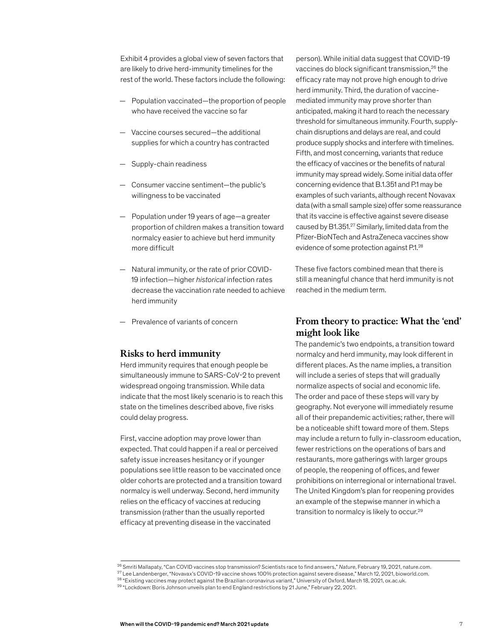Exhibit 4 provides a global view of seven factors that are likely to drive herd-immunity timelines for the rest of the world. These factors include the following:

- Population vaccinated—the proportion of people who have received the vaccine so far
- Vaccine courses secured—the additional supplies for which a country has contracted
- Supply-chain readiness
- Consumer vaccine sentiment—the public's willingness to be vaccinated
- Population under 19 years of age—a greater proportion of children makes a transition toward normalcy easier to achieve but herd immunity more difficult
- Natural immunity, or the rate of prior COVID-19 infection—higher *historical* infection rates decrease the vaccination rate needed to achieve herd immunity
- Prevalence of variants of concern

### **Risks to herd immunity**

Herd immunity requires that enough people be simultaneously immune to SARS-CoV-2 to prevent widespread ongoing transmission. While data indicate that the most likely scenario is to reach this state on the timelines described above, five risks could delay progress.

First, vaccine adoption may prove lower than expected. That could happen if a real or perceived safety issue increases hesitancy or if younger populations see little reason to be vaccinated once older cohorts are protected and a transition toward normalcy is well underway. Second, herd immunity relies on the efficacy of vaccines at reducing transmission (rather than the usually reported efficacy at preventing disease in the vaccinated

person). While initial data suggest that COVID-19 vaccines do block significant transmission,<sup>26</sup> the efficacy rate may not prove high enough to drive herd immunity. Third, the duration of vaccinemediated immunity may prove shorter than anticipated, making it hard to reach the necessary threshold for simultaneous immunity. Fourth, supplychain disruptions and delays are real, and could produce supply shocks and interfere with timelines. Fifth, and most concerning, variants that reduce the efficacy of vaccines or the benefits of natural immunity may spread widely. Some initial data offer concerning evidence that B.1.351 and P.1 may be examples of such variants, although recent Novavax data (with a small sample size) offer some reassurance that its vaccine is effective against severe disease caused by B1.351.27 Similarly, limited data from the Pfizer-BioNTech and AstraZeneca vaccines show evidence of some protection against P.1.28

These five factors combined mean that there is still a meaningful chance that herd immunity is not reached in the medium term.

## **From theory to practice: What the 'end' might look like**

The pandemic's two endpoints, a transition toward normalcy and herd immunity, may look different in different places. As the name implies, a transition will include a series of steps that will gradually normalize aspects of social and economic life. The order and pace of these steps will vary by geography. Not everyone will immediately resume all of their prepandemic activities; rather, there will be a noticeable shift toward more of them. Steps may include a return to fully in-classroom education, fewer restrictions on the operations of bars and restaurants, more gatherings with larger groups of people, the reopening of offices, and fewer prohibitions on interregional or international travel. The United Kingdom's plan for reopening provides an example of the stepwise manner in which a transition to normalcy is likely to occur.29

<sup>26</sup> Smriti Mallapaty, "Can COVID vaccines stop transmission? Scientists race to find answers," *Nature*, February 19, 2021, nature.com. 27 Lee Landenberger, "Novavax's COVID-19 vaccine shows 100% protection against severe disease," March 12, 2021, bioworld.com. <sup>28</sup> "Existing vaccines may protect against the Brazilian coronavirus variant," University of Oxford, March 18, 2021, ox.ac.uk.

<sup>29 &</sup>quot;Lockdown: Boris Johnson unveils plan to end England restrictions by 21 June," February 22, 2021.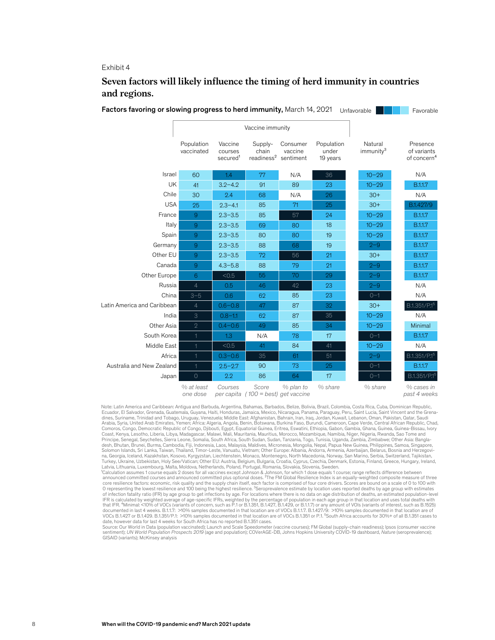#### Exhibit 4

## Seven factors will likely influence the timing of herd immunity in countries and regions. **and regions.**

| Factors favoring or slowing progress to herd immunity, March 14, 2021 |                           |                                            |                                     |                                                         |                                 | Unfavorable                      | Favorable                                          |
|-----------------------------------------------------------------------|---------------------------|--------------------------------------------|-------------------------------------|---------------------------------------------------------|---------------------------------|----------------------------------|----------------------------------------------------|
|                                                                       | Vaccine immunity          |                                            |                                     |                                                         |                                 |                                  |                                                    |
|                                                                       | Population<br>vaccinated  | Vaccine<br>courses<br>secured <sup>1</sup> | Supply-<br>chain                    | Consumer<br>vaccine<br>readiness <sup>2</sup> sentiment | Population<br>under<br>19 years | Natural<br>immunity <sup>3</sup> | Presence<br>of variants<br>of concern <sup>4</sup> |
| Israel                                                                | 60                        | 1.4                                        | 77                                  | N/A                                                     | 36                              | $10 - 29$                        | N/A                                                |
| UK                                                                    | 41                        | $3.2 - 4.2$                                | 91                                  | 89                                                      | 23                              | $10 - 29$                        | B.1.1.7                                            |
| Chile                                                                 | 30                        | 2.4                                        | 68                                  | N/A                                                     | 26                              | $30+$                            | N/A                                                |
| <b>USA</b>                                                            | 25                        | $2.3 - 4.1$                                | 85                                  | 71                                                      | 25                              | $30+$                            | B.1.427/9                                          |
| France                                                                | $9$                       | $2.3 - 3.5$                                | 85                                  | 57                                                      | 24                              | $10 - 29$                        | B.1.1.7                                            |
| Italy                                                                 | $\overline{9}$            | $2.3 - 3.5$                                | 69                                  | 80                                                      | 18                              | $10 - 29$                        | B.1.1.7                                            |
| Spain                                                                 | $9$                       | $2.3 - 3.5$                                | 80                                  | 80                                                      | 19                              | $10 - 29$                        | B.1.1.7                                            |
| Germany                                                               | $9$                       | $2.3 - 3.5$                                | 88                                  | 68                                                      | 19                              | $2 - 9$                          | B.1.1.7                                            |
| Other EU                                                              | $\overline{9}$            | $2.3 - 3.5$                                | 72                                  | 56                                                      | 21                              | $30+$                            | B.1.1.7                                            |
| Canada                                                                | $\overline{9}$            | $4.3 - 5.8$                                | 88                                  | 79                                                      | 21                              | $2 - 9$                          | B.1.1.7                                            |
| Other Europe                                                          | 6                         | < 0.5                                      | 55                                  | 70                                                      | 29                              | $2 - 9$                          | B.1.1.7                                            |
| Russia                                                                | $\overline{4}$            | 0.5                                        | 46                                  | 42                                                      | 23                              | $2 - 9$                          | N/A                                                |
| China                                                                 | $3 - 5$                   | 0.6                                        | 62                                  | 85                                                      | 23                              | $0 - 1$                          | N/A                                                |
| Latin America and Caribbean                                           | $\overline{4}$            | $0.6 - 0.8$                                | 47                                  | 87                                                      | 32                              | $30+$                            | B.1.351/P.1 <sup>5</sup>                           |
| India                                                                 | $\ensuremath{\mathsf{3}}$ | $0.8 - 1.1$                                | 62                                  | 87                                                      | 35                              | $10 - 29$                        | N/A                                                |
| Other Asia                                                            | $\overline{2}$            | $0.4 - 0.6$                                | 49                                  | 85                                                      | 34                              | $10 - 29$                        | Minimal                                            |
| South Korea                                                           |                           | 1.3                                        | N/A                                 | 78                                                      | 17                              | $0 - 1$                          | B.1.1.7                                            |
| Middle East                                                           | $\mathbf{1}$              | < 0.5                                      | 41                                  | 84                                                      | 41                              | $10 - 29$                        | N/A                                                |
| Africa                                                                | 1                         | $0.3 - 0.6$                                | 35                                  | 61                                                      | 51                              | $2 - 9$                          | B.1.351/P.15                                       |
| Australia and New Zealand                                             | $\mathbf{1}$              | $2.5 - 2.7$                                | 90                                  | 73                                                      | 25                              | $0 - 1$                          | B.1.1.7                                            |
| Japan                                                                 | $\circ$                   | 2.2                                        | 86                                  | 64                                                      | 17                              | $0 - 1$                          | B.1.351/P.1 <sup>5</sup>                           |
|                                                                       | % at least<br>one dose    | Courses<br>per capita                      | Score<br>$(100 = best)$ get vaccine | % plan to                                               | % share                         | % share                          | % cases in<br>past 4 weeks                         |

Note: Latin America and Caribbean: Antigua and Barbuda, Argentina, Bahamas, Barbados, Belize, Bolivia, Brazil, Colombia, Costa Rica, Cuba, Dominican Republic, Ecuador, El Salvador, Grenada, Guatemala, Guyana, Haiti, Honduras, Jamaica, Mexico, Nicaragua, Panama, Paraguay, Peru, Saint Lucia, Saint Vincent and the Grenadines, Suriname, Trinidad and Tobago, Uruguay, Venezuela; Middle East: Afghanistan, Bahrain, Iran, Iraq, Jordan, Kuwait, Lebanon, Oman, Pakistan, Qatar, Saudi Arabia, Syria, United Arab Emirates, Yemen; Africa: Algeria, Angola, Benin, Botswana, Burkina Faso, Burundi, Cameroon, Cape Verde, Central African Republic, Chad,<br>Comoros, Congo, Democratic Republic of Congo, Djibouti, Egy Principe, Senegal, Seychelles, Sierra Leone, Somalia, South Africa, South Sudan, Sudan, Tanzania, Togo, Tunisia, Uganda, Zambia, Zimbabwe; Other Asia: Bangladesh, Bhutan, Brunei, Burma, Cambodia, Fiji, Indonesia, Laos, Malaysia, Maldives, Micronesia, Mongolia, Nepal, Papua New Guinea, Philippines, Samoa, Singapore,<br>Solomon Islands, Sri Lanka, Taiwan, Thailand, Timor-Leste, Van na, Georgia, Iceland, Kazakhstan, Kosovo, Kyrgyzstan, Liechtenstein, Monaco, Montenegro, North Macedonia, Norway, San Marino, Serbia, Switzerland, Tajikistan,<br>Turkey, Ukraine, Uzbekistan, Holy See/Vatican; Other EU: Austri Latvia, Lithuania, Luxembourg, Malta, Moldova, Netherlands, Poland, Portugal, Romania, Slovakia, Slovenia, Sweden.

<sup>t</sup>Calculation assumes 1 course equals 2 doses for all vaccines except Johnson & Johnson, for which 1 dose equals 1 course; range reflects difference between announced committed courses and announced committed plus optional doses. ²The FM Global Resilience Index is an equally-weighted composite measure of three core resilience factors: economic, risk quality and the supply chain itself, each factor is comprised of four core drivers. Scores are bound on a scale of 0 to 100 with<br>O representing the lowest resilience and 100 being th of infection fatality ratio (IFR) by age group to get infections by age. For locations where there is no data on age distribution of deaths, an estimated population-level<br>IFR is calculated by weighted average of age-specif that IFR. <sup>4</sup>Minimal: <10% of VOCs (variants of concern, such as P.1 or B.1.351, B.1.427, B.1.429, or B.1.1.7) or any amount of VOIs (variants of interest, such as B.1525)<br>documented in last 4 weeks. B.1.1.7: >10% samples VOCs B.1.427 or B.1.429. B.1.351/P.1: >10% samples documented in that location are of VOCs B.1.351 or P.1. <sup>s</sup>South Africa accounts for 30%+ of all B.1.351 cases to<br>date, however data for last 4 weeks for South Africa has

Source: Our World in Data (population vaccinated); Launch and Scale Speedometer (vaccine courses); FM Global (supply-chain readiness); Ipsos (consumer vaccine<br>sentiment); UN World Population Prospects 2019 (age and populat GISAID (variants); McKinsey analysis